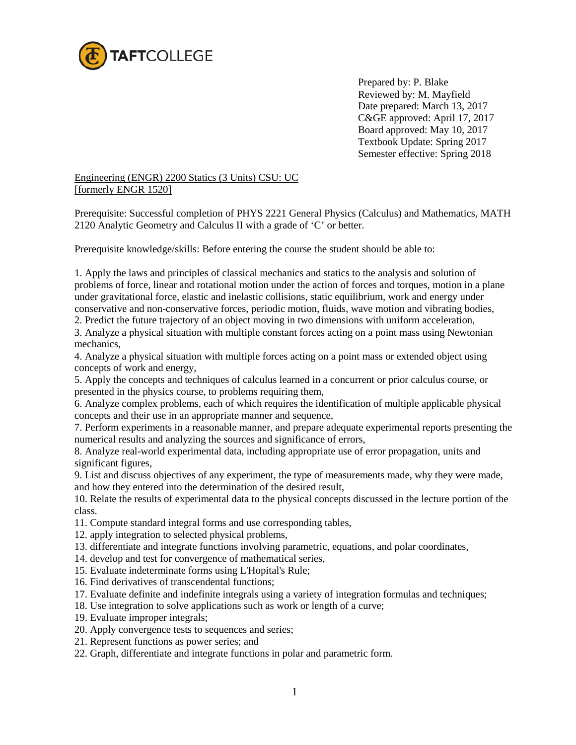

 Prepared by: P. Blake Reviewed by: M. Mayfield Date prepared: March 13, 2017 C&GE approved: April 17, 2017 Board approved: May 10, 2017 Textbook Update: Spring 2017 Semester effective: Spring 2018

## Engineering (ENGR) 2200 Statics (3 Units) CSU: UC [formerly ENGR 1520]

Prerequisite: Successful completion of PHYS 2221 General Physics (Calculus) and Mathematics, MATH 2120 Analytic Geometry and Calculus II with a grade of 'C' or better.

Prerequisite knowledge/skills: Before entering the course the student should be able to:

1. Apply the laws and principles of classical mechanics and statics to the analysis and solution of problems of force, linear and rotational motion under the action of forces and torques, motion in a plane under gravitational force, elastic and inelastic collisions, static equilibrium, work and energy under conservative and non-conservative forces, periodic motion, fluids, wave motion and vibrating bodies,

2. Predict the future trajectory of an object moving in two dimensions with uniform acceleration,

3. Analyze a physical situation with multiple constant forces acting on a point mass using Newtonian mechanics,

4. Analyze a physical situation with multiple forces acting on a point mass or extended object using concepts of work and energy,

5. Apply the concepts and techniques of calculus learned in a concurrent or prior calculus course, or presented in the physics course, to problems requiring them,

6. Analyze complex problems, each of which requires the identification of multiple applicable physical concepts and their use in an appropriate manner and sequence,

7. Perform experiments in a reasonable manner, and prepare adequate experimental reports presenting the numerical results and analyzing the sources and significance of errors,

8. Analyze real-world experimental data, including appropriate use of error propagation, units and significant figures,

9. List and discuss objectives of any experiment, the type of measurements made, why they were made, and how they entered into the determination of the desired result,

10. Relate the results of experimental data to the physical concepts discussed in the lecture portion of the class.

- 11. Compute standard integral forms and use corresponding tables,
- 12. apply integration to selected physical problems,
- 13. differentiate and integrate functions involving parametric, equations, and polar coordinates,
- 14. develop and test for convergence of mathematical series,
- 15. Evaluate indeterminate forms using L'Hopital's Rule;
- 16. Find derivatives of transcendental functions;
- 17. Evaluate definite and indefinite integrals using a variety of integration formulas and techniques;
- 18. Use integration to solve applications such as work or length of a curve;
- 19. Evaluate improper integrals;
- 20. Apply convergence tests to sequences and series;
- 21. Represent functions as power series; and
- 22. Graph, differentiate and integrate functions in polar and parametric form.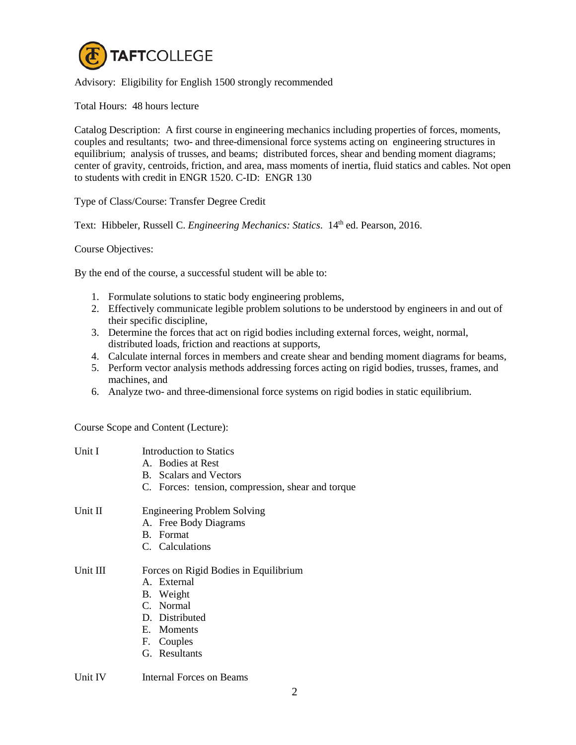

## Advisory: Eligibility for English 1500 strongly recommended

Total Hours: 48 hours lecture

Catalog Description: A first course in engineering mechanics including properties of forces, moments, couples and resultants; two- and three-dimensional force systems acting on engineering structures in equilibrium; analysis of trusses, and beams; distributed forces, shear and bending moment diagrams; center of gravity, centroids, friction, and area, mass moments of inertia, fluid statics and cables. Not open to students with credit in ENGR 1520. C-ID: ENGR 130

Type of Class/Course: Transfer Degree Credit

Text: Hibbeler, Russell C. *Engineering Mechanics: Statics*. 14<sup>th</sup> ed. Pearson, 2016.

Course Objectives:

By the end of the course, a successful student will be able to:

- 1. Formulate solutions to static body engineering problems,
- 2. Effectively communicate legible problem solutions to be understood by engineers in and out of their specific discipline,
- 3. Determine the forces that act on rigid bodies including external forces, weight, normal, distributed loads, friction and reactions at supports,
- 4. Calculate internal forces in members and create shear and bending moment diagrams for beams,
- 5. Perform vector analysis methods addressing forces acting on rigid bodies, trusses, frames, and machines, and
- 6. Analyze two- and three-dimensional force systems on rigid bodies in static equilibrium.

Course Scope and Content (Lecture):

| Unit I   | Introduction to Statics<br>A. Bodies at Rest<br><b>B.</b> Scalars and Vectors<br>C. Forces: tension, compression, shear and torque            |
|----------|-----------------------------------------------------------------------------------------------------------------------------------------------|
| Unit II  | <b>Engineering Problem Solving</b><br>A. Free Body Diagrams<br>B. Format<br>C. Calculations                                                   |
| Unit III | Forces on Rigid Bodies in Equilibrium<br>A. External<br>B. Weight<br>C. Normal<br>D. Distributed<br>E. Moments<br>F. Couples<br>G. Resultants |

Unit IV Internal Forces on Beams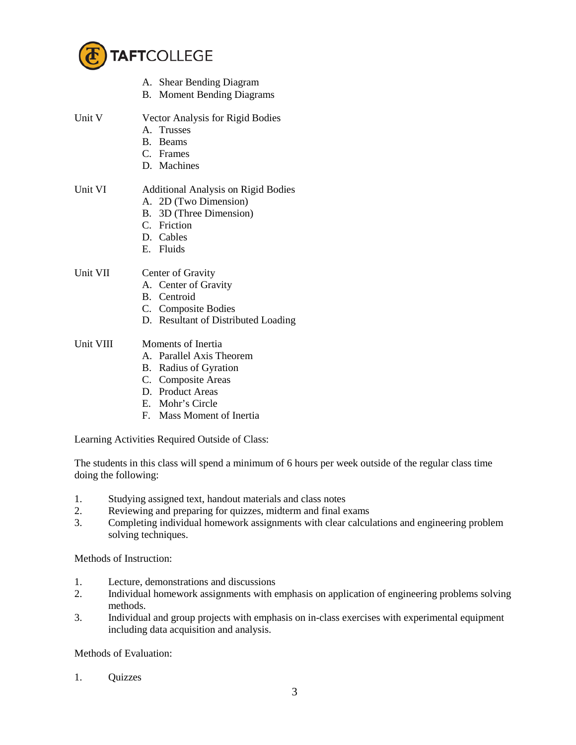

|           | A. Shear Bending Diagram                   |
|-----------|--------------------------------------------|
|           | <b>B.</b> Moment Bending Diagrams          |
| Unit V    | Vector Analysis for Rigid Bodies           |
|           | A. Trusses                                 |
|           | B. Beams                                   |
|           | C. Frames                                  |
|           | D. Machines                                |
| Unit VI   | <b>Additional Analysis on Rigid Bodies</b> |
|           | A. 2D (Two Dimension)                      |
|           | B. 3D (Three Dimension)                    |
|           | C. Friction                                |
|           | D. Cables                                  |
|           | E. Fluids                                  |
| Unit VII  | Center of Gravity                          |
|           | A. Center of Gravity                       |
|           | B. Centroid                                |
|           | C. Composite Bodies                        |
|           | D. Resultant of Distributed Loading        |
| Unit VIII | Moments of Inertia                         |
|           | A. Parallel Axis Theorem                   |
|           | B. Radius of Gyration                      |
|           | C. Composite Areas                         |
|           |                                            |

- D. Product Areas
- E. Mohr's Circle
- F. Mass Moment of Inertia

Learning Activities Required Outside of Class:

The students in this class will spend a minimum of 6 hours per week outside of the regular class time doing the following:

- 1. Studying assigned text, handout materials and class notes
- 2. Reviewing and preparing for quizzes, midterm and final exams
- 3. Completing individual homework assignments with clear calculations and engineering problem solving techniques.

Methods of Instruction:

- 1. Lecture, demonstrations and discussions
- 2. Individual homework assignments with emphasis on application of engineering problems solving methods.
- 3. Individual and group projects with emphasis on in-class exercises with experimental equipment including data acquisition and analysis.

Methods of Evaluation:

1. Quizzes